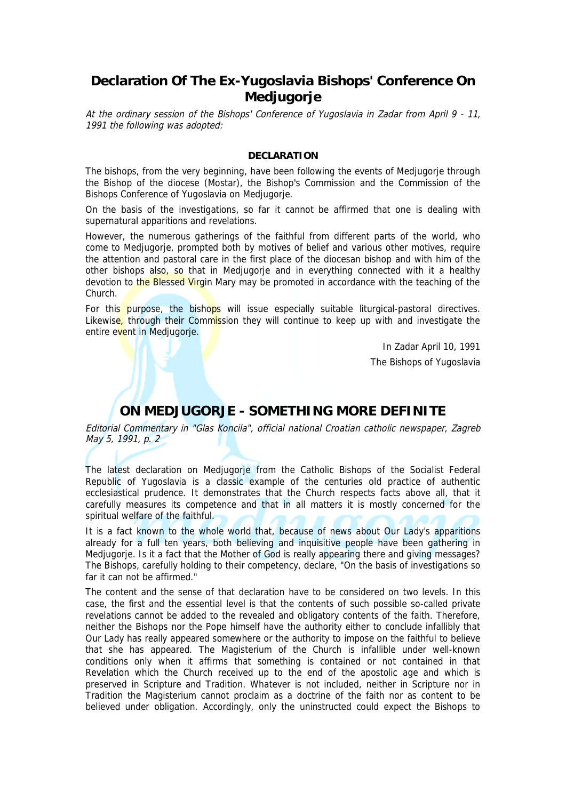## **Declaration Of The Ex-Yugoslavia Bishops' Conference On Medjugorje**

At the ordinary session of the Bishops' Conference of Yugoslavia in Zadar from April 9 - 11, 1991 the following was adopted:

#### **DECLARATION**

The bishops, from the very beginning, have been following the events of Medjugorje through the Bishop of the diocese (Mostar), the Bishop's Commission and the Commission of the Bishops Conference of Yugoslavia on Medjugorje.

On the basis of the investigations, so far it cannot be affirmed that one is dealing with supernatural apparitions and revelations.

However, the numerous gatherings of the faithful from different parts of the world, who come to Medjugorje, prompted both by motives of belief and various other motives, require the attention and pastoral care in the first place of the diocesan bishop and with him of the other bishops also, so that in Medjugorje and in everything connected with it a healthy devotion to the Blessed Virgin Mary may be promoted in accordance with the teaching of the Church.

For this purpose, the bishops will issue especially suitable liturgical-pastoral directives. Likewise, through their Commission they will continue to keep up with and investigate the entire event in Medjugorje.

> In Zadar April 10, 1991 The Bishops of Yugoslavia

#### **ON MEDJUGORJE - SOMETHING MORE DEFINITE**

Editorial Commentary in "Glas Koncila", official national Croatian catholic newspaper, Zagreb May 5, 1991, p. 2

The latest declaration on Medjugorje from the Catholic Bishops of the Socialist Federal Republic of Yugoslavia is a classic example of the centuries old practice of authentic ecclesiastical prudence. It demonstrates that the Church respects facts above all, that it carefully measures its competence and that in all matters it is mostly concerned for the spiritual welfare of the faithful.

It is a fact known to the whole world that, because of news about Our Lady's apparitions already for a full ten years, both believing and inquisitive people have been gathering in Medjugorje. Is it a fact that the Mother of God is really appearing there and giving messages? The Bishops, carefully holding to their competency, declare, "On the basis of investigations so far it can not be affirmed."

The content and the sense of that declaration have to be considered on two levels. In this case, the first and the essential level is that the contents of such possible so-called private revelations cannot be added to the revealed and obligatory contents of the faith. Therefore, neither the Bishops nor the Pope himself have the authority either to conclude infallibly that Our Lady has really appeared somewhere or the authority to impose on the faithful to believe that she has appeared. The Magisterium of the Church is infallible under well-known conditions only when it affirms that something is contained or not contained in that Revelation which the Church received up to the end of the apostolic age and which is preserved in Scripture and Tradition. Whatever is not included, neither in Scripture nor in Tradition the Magisterium cannot proclaim as a doctrine of the faith nor as content to be believed under obligation. Accordingly, only the uninstructed could expect the Bishops to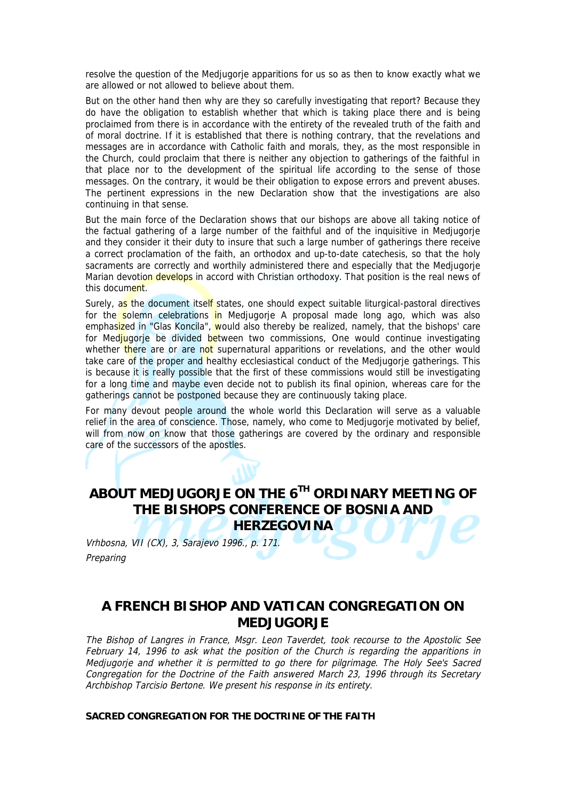resolve the question of the Medjugorje apparitions for us so as then to know exactly what we are allowed or not allowed to believe about them.

But on the other hand then why are they so carefully investigating that report? Because they do have the obligation to establish whether that which is taking place there and is being proclaimed from there is in accordance with the entirety of the revealed truth of the faith and of moral doctrine. If it is established that there is nothing contrary, that the revelations and messages are in accordance with Catholic faith and morals, they, as the most responsible in the Church, could proclaim that there is neither any objection to gatherings of the faithful in that place nor to the development of the spiritual life according to the sense of those messages. On the contrary, it would be their obligation to expose errors and prevent abuses. The pertinent expressions in the new Declaration show that the investigations are also continuing in that sense.

But the main force of the Declaration shows that our bishops are above all taking notice of the factual gathering of a large number of the faithful and of the inquisitive in Medjugorje and they consider it their duty to insure that such a large number of gatherings there receive a correct proclamation of the faith, an orthodox and up-to-date catechesis, so that the holy sacraments are correctly and worthily administered there and especially that the Medjugorje Marian devotion develops in accord with Christian orthodoxy. That position is the real news of this document.

Surely, as the document itself states, one should expect suitable liturgical-pastoral directives for the solemn celebrations in Medjugorje A proposal made long ago, which was also emphasized in "Glas Koncila", would also thereby be realized, namely, that the bishops' care for Medjugorje be divided between two commissions, One would continue investigating whether there are or are not supernatural apparitions or revelations, and the other would take care of the proper and healthy ecclesiastical conduct of the Medjugorje gatherings. This is because it is really possible that the first of these commissions would still be investigating for a long time and maybe even decide not to publish its final opinion, whereas care for the gatherings cannot be postponed because they are continuously taking place.

For many devout people around the whole world this Declaration will serve as a valuable relief in the area of conscience. Those, namely, who come to Medjugorje motivated by belief, will from now on know that those gatherings are covered by the ordinary and responsible care of the successors of the apostles.

# **ABOUT MEDJUGORJE ON THE 6TH ORDINARY MEETING OF THE BISHOPS CONFERENCE OF BOSNIA AND HERZEGOVINA**

Vrhbosna, VII (CX), 3, Sarajevo 1996., p. 171. Preparing

## **A FRENCH BISHOP AND VATICAN CONGREGATION ON MEDJUGORJE**

The Bishop of Langres in France, Msgr. Leon Taverdet, took recourse to the Apostolic See February 14, 1996 to ask what the position of the Church is regarding the apparitions in Medjugorje and whether it is permitted to go there for pilgrimage. The Holy See's Sacred Congregation for the Doctrine of the Faith answered March 23, 1996 through its Secretary Archbishop Tarcisio Bertone. We present his response in its entirety.

**SACRED CONGREGATION FOR THE DOCTRINE OF THE FAITH**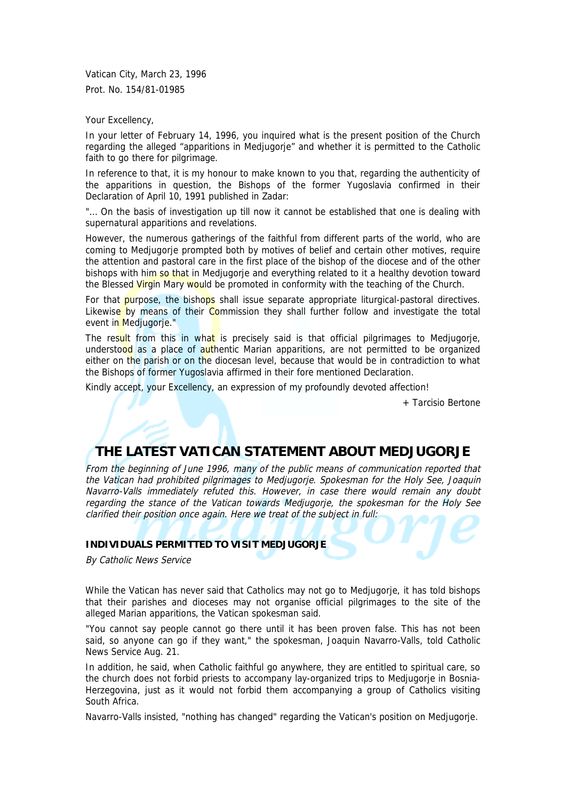Vatican City, March 23, 1996 Prot. No. 154/81-01985

Your Excellency,

In your letter of February 14, 1996, you inquired what is the present position of the Church regarding the alleged "apparitions in Medjugorje" and whether it is permitted to the Catholic faith to go there for pilgrimage.

In reference to that, it is my honour to make known to you that, regarding the authenticity of the apparitions in question, the Bishops of the former Yugoslavia confirmed in their Declaration of April 10, 1991 published in Zadar:

"… On the basis of investigation up till now it cannot be established that one is dealing with supernatural apparitions and revelations.

However, the numerous gatherings of the faithful from different parts of the world, who are coming to Medjugorje prompted both by motives of belief and certain other motives, require the attention and pastoral care in the first place of the bishop of the diocese and of the other bishops with him so that in Medjugorje and everything related to it a healthy devotion toward the Blessed Virgin Mary would be promoted in conformity with the teaching of the Church.

For that purpose, the bishops shall issue separate appropriate liturgical-pastoral directives. Likewise by means of their Commission they shall further follow and investigate the total event in Mediugorie."

The result from this in what is precisely said is that official pilgrimages to Medjugorje, understood as a place of authentic Marian apparitions, are not permitted to be organized either on the parish or on the diocesan level, because that would be in contradiction to what the Bishops of former Yugoslavia affirmed in their fore mentioned Declaration.

Kindly accept, your Excellency, an expression of my profoundly devoted affection!

+ Tarcisio Bertone

## **THE LATEST VATICAN STATEMENT ABOUT MEDJUGORJE**

From the beginning of June 1996, many of the public means of communication reported that the Vatican had prohibited pilgrimages to Medjugorje. Spokesman for the Holy See, Joaquin Navarro-Valls immediately refuted this. However, in case there would remain any doubt regarding the stance of the Vatican towards Medjugorje, the spokesman for the Holy See clarified their position once again. Here we treat of the subject in full:

**INDIVIDUALS PERMITTED TO VISIT MEDJUGORJE**

By Catholic News Service

While the Vatican has never said that Catholics may not go to Medjugorje, it has told bishops that their parishes and dioceses may not organise official pilgrimages to the site of the alleged Marian apparitions, the Vatican spokesman said.

"You cannot say people cannot go there until it has been proven false. This has not been said, so anyone can go if they want," the spokesman, Joaquin Navarro-Valls, told Catholic News Service Aug. 21.

In addition, he said, when Catholic faithful go anywhere, they are entitled to spiritual care, so the church does not forbid priests to accompany lay-organized trips to Medjugorje in Bosnia-Herzegovina, just as it would not forbid them accompanying a group of Catholics visiting South Africa.

Navarro-Valls insisted, "nothing has changed" regarding the Vatican's position on Medjugorje.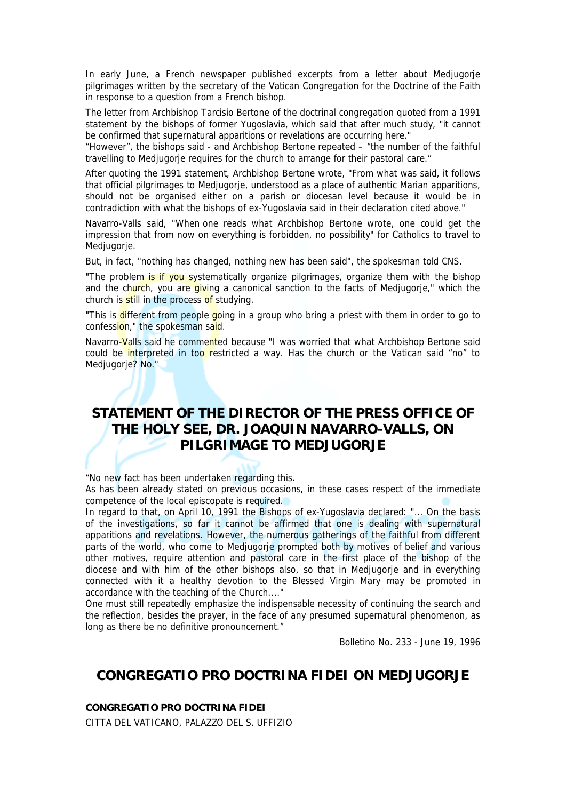In early June, a French newspaper published excerpts from a letter about Medjugorje pilgrimages written by the secretary of the Vatican Congregation for the Doctrine of the Faith in response to a question from a French bishop.

The letter from Archbishop Tarcisio Bertone of the doctrinal congregation quoted from a 1991 statement by the bishops of former Yugoslavia, which said that after much study, "it cannot be confirmed that supernatural apparitions or revelations are occurring here."

"However", the bishops said - and Archbishop Bertone repeated – "the number of the faithful travelling to Medjugorje requires for the church to arrange for their pastoral care."

After quoting the 1991 statement, Archbishop Bertone wrote, "From what was said, it follows that official pilgrimages to Medjugorje, understood as a place of authentic Marian apparitions, should not be organised either on a parish or diocesan level because it would be in contradiction with what the bishops of ex-Yugoslavia said in their declaration cited above."

Navarro-Valls said, "When one reads what Archbishop Bertone wrote, one could get the impression that from now on everything is forbidden, no possibility" for Catholics to travel to Medjugorje.

But, in fact, "nothing has changed, nothing new has been said", the spokesman told CNS.

"The problem is if you systematically organize pilgrimages, organize them with the bishop and the church, you are giving a canonical sanction to the facts of Mediugorie." which the church is still in the process of studying.

"This is different from people going in a group who bring a priest with them in order to go to confession," the spokesman said.

Navarro-Valls said he commented because "I was worried that what Archbishop Bertone said could be interpreted in too restricted a way. Has the church or the Vatican said "no" to Medjugorje? No."

## **STATEMENT OF THE DIRECTOR OF THE PRESS OFFICE OF THE HOLY SEE, DR. JOAQUIN NAVARRO-VALLS, ON PILGRIMAGE TO MEDJUGORJE**

"No new fact has been undertaken regarding this.

As has been already stated on previous occasions, in these cases respect of the immediate competence of the local episcopate is required.

In regard to that, on April 10, 1991 the Bishops of ex-Yugoslavia declared: "... On the basis of the investigations, so far it cannot be affirmed that one is dealing with supernatural apparitions and revelations. However, the numerous gatherings of the faithful from different parts of the world, who come to Medjugorje prompted both by motives of belief and various other motives, require attention and pastoral care in the first place of the bishop of the diocese and with him of the other bishops also, so that in Medjugorje and in everything connected with it a healthy devotion to the Blessed Virgin Mary may be promoted in accordance with the teaching of the Church...."

One must still repeatedly emphasize the indispensable necessity of continuing the search and the reflection, besides the prayer, in the face of any presumed supernatural phenomenon, as long as there be no definitive pronouncement."

Bolletino No. 233 - June 19, 1996

## **CONGREGATIO PRO DOCTRINA FIDEI ON MEDJUGORJE**

**CONGREGATIO PRO DOCTRINA FIDEI** CITTA DEL VATICANO, PALAZZO DEL S. UFFIZIO